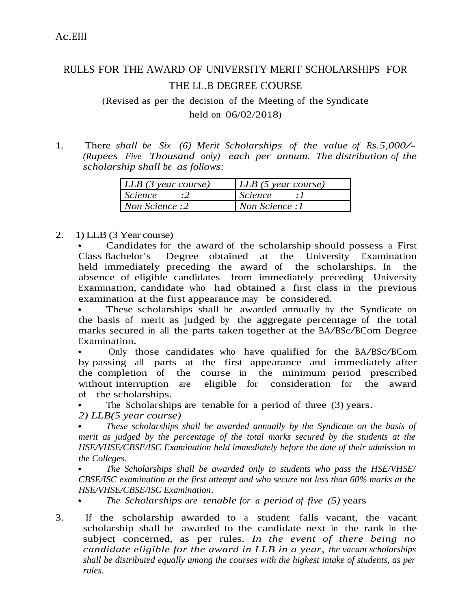## RULES FOR THE AWARD OF UNIVERSITY MERIT SCHOLARSHIPS FOR THE LL.B DEGREE COURSE

(Revised as per the decision of the Meeting of the Syndicate held on 06/02/2018)

1. There *shall be Six (6) Merit Scholarships of the value of Rs.5,000/- (Rupees Five Thousand only) each per annum. The distribution of the scholarship shall be as follows*:

| LLB (3 year course) | LLB (5 year course) |
|---------------------|---------------------|
| <i>Science</i>      | <i>Science</i>      |
| Non Science :2      | Non Science:1       |

2. 1) LLB (3 Year course)

 Candidates for the award of the scholarship should possess a First Class Bachelor's Degree obtained at the University Examination held immediately preceding the award of the scholarships. In the absence of eligible candidates from immediately preceding University Examination, candidate who had obtained a first class in the previous examination at the first appearance may be considered.

 These scholarships shall be awarded annually by the Syndicate on the basis of merit as judged by the aggregate percentage of the total marks secured in all the parts taken together at the BA/BSc/BCom Degree Examination.

 Only those candidates who have qualified for the BA/BSc/BCom by passing all parts at the first appearance and immediately after the completion of the course in the minimum period prescribed<br>without interruption are eligible for consideration for the award without interruption are eligible for consideration for the award of the scholarships.

The Scholarships are tenable for a period of three (3) years.

*2) LLB(5 year course)*

 *These scholarships shall be awarded annually by the Syndicate on the basis of merit as judged by the percentage of the total marks secured by the students at the HSE/VHSE/CBSE/ISC Examination held immediately before the date of their admission to the Colleges.*

 *The Scholarships shall be awarded only to students who pass the HSE/VHSE/ CBSE/ISC examination at the first attempt and who secure not less than 60% marks at the HSE/VHSE/CBSE/ISC Examination*.

*The Scholarships are tenable for a period of five (5)* years

3. If the scholarship awarded to a student falls vacant, the vacant scholarship shall be awarded to the candidate next in the rank in the subject concerned, as per rules. *In the event of there being no candidate eligible for the award in LLB in a year, the vacant scholarships shall be distributed equally among the courses with the highest intake of students, as per rules*.